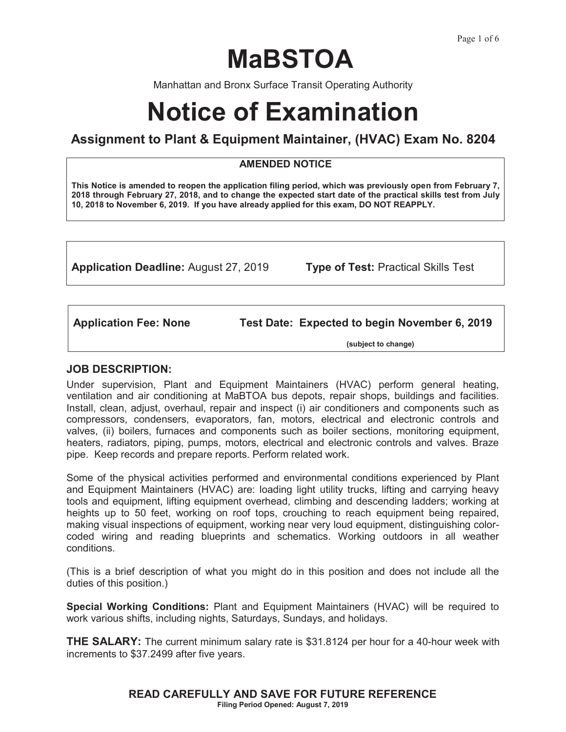# **MaBSTOA**

Manhattan and Bronx Surface Transit Operating Authority

# **Notice of Examination**

## **Assignment to Plant & Equipment Maintainer, (HVAC) Exam No. 8204**

#### **AMENDED NOTICE**

**This Notice is amended to reopen the application filing period, which was previously open from February 7, 2018 through February 27, 2018, and to change the expected start date of the practical skills test from July 10, 2018 to November 6, 2019. If you have already applied for this exam, DO NOT REAPPLY.** 

**Application Deadline:** August 27, 2019 **Type of Test:** Practical Skills Test

**Application Fee: None Test Date: Expected to begin November 6, 2019**

 **(subject to change)** 

#### **JOB DESCRIPTION:**

Under supervision, Plant and Equipment Maintainers (HVAC) perform general heating, ventilation and air conditioning at MaBTOA bus depots, repair shops, buildings and facilities. Install, clean, adjust, overhaul, repair and inspect (i) air conditioners and components such as compressors, condensers, evaporators, fan, motors, electrical and electronic controls and valves, (ii) boilers, furnaces and components such as boiler sections, monitoring equipment, heaters, radiators, piping, pumps, motors, electrical and electronic controls and valves. Braze pipe. Keep records and prepare reports. Perform related work.

Some of the physical activities performed and environmental conditions experienced by Plant and Equipment Maintainers (HVAC) are: loading light utility trucks, lifting and carrying heavy tools and equipment, lifting equipment overhead, climbing and descending ladders; working at heights up to 50 feet, working on roof tops, crouching to reach equipment being repaired, making visual inspections of equipment, working near very loud equipment, distinguishing colorcoded wiring and reading blueprints and schematics. Working outdoors in all weather conditions.

(This is a brief description of what you might do in this position and does not include all the duties of this position.)

**Special Working Conditions:** Plant and Equipment Maintainers (HVAC) will be required to work various shifts, including nights, Saturdays, Sundays, and holidays.

**THE SALARY:** The current minimum salary rate is \$31.8124 per hour for a 40-hour week with increments to \$37.2499 after five years.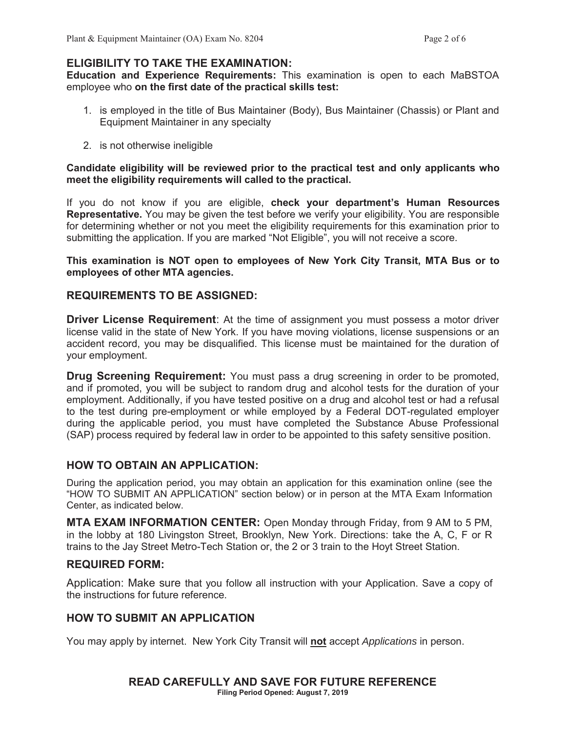## **ELIGIBILITY TO TAKE THE EXAMINATION:**

**Education and Experience Requirements:** This examination is open to each MaBSTOA employee who **on the first date of the practical skills test:**

- 1. is employed in the title of Bus Maintainer (Body), Bus Maintainer (Chassis) or Plant and Equipment Maintainer in any specialty
- 2. is not otherwise ineligible

#### **Candidate eligibility will be reviewed prior to the practical test and only applicants who meet the eligibility requirements will called to the practical.**

If you do not know if you are eligible, **check your department's Human Resources Representative.** You may be given the test before we verify your eligibility. You are responsible for determining whether or not you meet the eligibility requirements for this examination prior to submitting the application. If you are marked "Not Eligible", you will not receive a score.

**This examination is NOT open to employees of New York City Transit, MTA Bus or to employees of other MTA agencies.** 

#### **REQUIREMENTS TO BE ASSIGNED:**

**Driver License Requirement**: At the time of assignment you must possess a motor driver license valid in the state of New York. If you have moving violations, license suspensions or an accident record, you may be disqualified. This license must be maintained for the duration of your employment.

**Drug Screening Requirement:** You must pass a drug screening in order to be promoted, and if promoted, you will be subject to random drug and alcohol tests for the duration of your employment. Additionally, if you have tested positive on a drug and alcohol test or had a refusal to the test during pre-employment or while employed by a Federal DOT-regulated employer during the applicable period, you must have completed the Substance Abuse Professional (SAP) process required by federal law in order to be appointed to this safety sensitive position.

#### **HOW TO OBTAIN AN APPLICATION:**

During the application period, you may obtain an application for this examination online (see the "HOW TO SUBMIT AN APPLICATION" section below) or in person at the MTA Exam Information Center, as indicated below.

**MTA EXAM INFORMATION CENTER:** Open Monday through Friday, from 9 AM to 5 PM, in the lobby at 180 Livingston Street, Brooklyn, New York. Directions: take the A, C, F or R trains to the Jay Street Metro-Tech Station or, the 2 or 3 train to the Hoyt Street Station.

#### **REQUIRED FORM:**

Application: Make sure that you follow all instruction with your Application. Save a copy of the instructions for future reference.

#### **HOW TO SUBMIT AN APPLICATION**

You may apply by internet. New York City Transit will **not** accept *Applications* in person.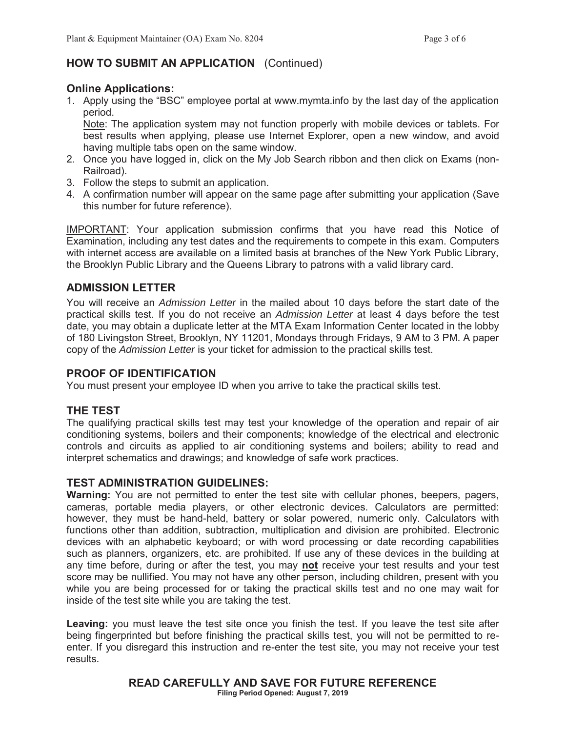## **HOW TO SUBMIT AN APPLICATION** (Continued)

## **Online Applications:**

1. Apply using the "BSC" employee portal at www.mymta.info by the last day of the application period.

Note: The application system may not function properly with mobile devices or tablets. For best results when applying, please use Internet Explorer, open a new window, and avoid having multiple tabs open on the same window.

- 2. Once you have logged in, click on the My Job Search ribbon and then click on Exams (non-Railroad).
- 3. Follow the steps to submit an application.
- 4. A confirmation number will appear on the same page after submitting your application (Save this number for future reference).

IMPORTANT: Your application submission confirms that you have read this Notice of Examination, including any test dates and the requirements to compete in this exam. Computers with internet access are available on a limited basis at branches of the New York Public Library, the Brooklyn Public Library and the Queens Library to patrons with a valid library card.

## **ADMISSION LETTER**

You will receive an *Admission Letter* in the mailed about 10 days before the start date of the practical skills test. If you do not receive an *Admission Letter* at least 4 days before the test date, you may obtain a duplicate letter at the MTA Exam Information Center located in the lobby of 180 Livingston Street, Brooklyn, NY 11201, Mondays through Fridays, 9 AM to 3 PM. A paper copy of the *Admission Letter* is your ticket for admission to the practical skills test.

## **PROOF OF IDENTIFICATION**

You must present your employee ID when you arrive to take the practical skills test.

## **THE TEST**

The qualifying practical skills test may test your knowledge of the operation and repair of air conditioning systems, boilers and their components; knowledge of the electrical and electronic controls and circuits as applied to air conditioning systems and boilers; ability to read and interpret schematics and drawings; and knowledge of safe work practices.

## **TEST ADMINISTRATION GUIDELINES:**

**Warning:** You are not permitted to enter the test site with cellular phones, beepers, pagers, cameras, portable media players, or other electronic devices. Calculators are permitted: however, they must be hand-held, battery or solar powered, numeric only. Calculators with functions other than addition, subtraction, multiplication and division are prohibited. Electronic devices with an alphabetic keyboard; or with word processing or date recording capabilities such as planners, organizers, etc. are prohibited. If use any of these devices in the building at any time before, during or after the test, you may **not** receive your test results and your test score may be nullified. You may not have any other person, including children, present with you while you are being processed for or taking the practical skills test and no one may wait for inside of the test site while you are taking the test.

**Leaving:** you must leave the test site once you finish the test. If you leave the test site after being fingerprinted but before finishing the practical skills test, you will not be permitted to reenter. If you disregard this instruction and re-enter the test site, you may not receive your test results.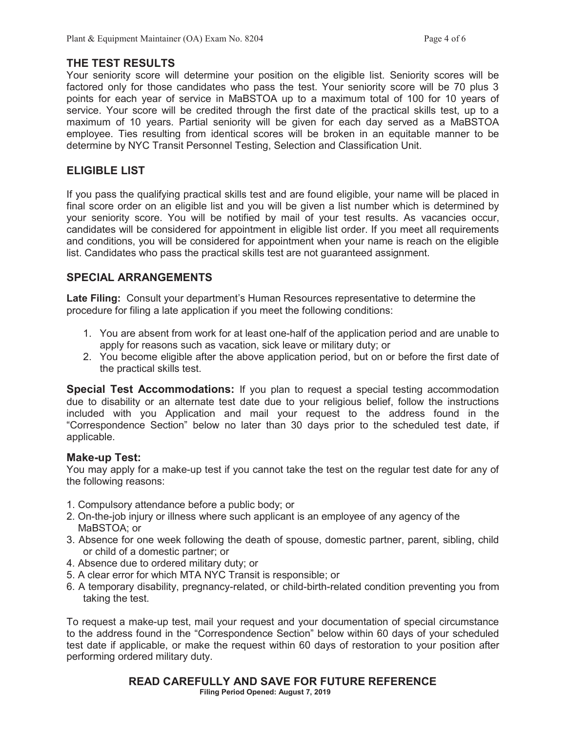#### **THE TEST RESULTS**

Your seniority score will determine your position on the eligible list. Seniority scores will be factored only for those candidates who pass the test. Your seniority score will be 70 plus 3 points for each year of service in MaBSTOA up to a maximum total of 100 for 10 years of service. Your score will be credited through the first date of the practical skills test, up to a maximum of 10 years. Partial seniority will be given for each day served as a MaBSTOA employee. Ties resulting from identical scores will be broken in an equitable manner to be determine by NYC Transit Personnel Testing, Selection and Classification Unit.

## **ELIGIBLE LIST**

If you pass the qualifying practical skills test and are found eligible, your name will be placed in final score order on an eligible list and you will be given a list number which is determined by your seniority score. You will be notified by mail of your test results. As vacancies occur, candidates will be considered for appointment in eligible list order. If you meet all requirements and conditions, you will be considered for appointment when your name is reach on the eligible list. Candidates who pass the practical skills test are not guaranteed assignment.

## **SPECIAL ARRANGEMENTS**

**Late Filing:** Consult your department's Human Resources representative to determine the procedure for filing a late application if you meet the following conditions:

- 1. You are absent from work for at least one-half of the application period and are unable to apply for reasons such as vacation, sick leave or military duty; or
- 2. You become eligible after the above application period, but on or before the first date of the practical skills test.

**Special Test Accommodations:** If you plan to request a special testing accommodation due to disability or an alternate test date due to your religious belief, follow the instructions included with you Application and mail your request to the address found in the "Correspondence Section" below no later than 30 days prior to the scheduled test date, if applicable.

## **Make-up Test:**

You may apply for a make-up test if you cannot take the test on the regular test date for any of the following reasons:

- 1. Compulsory attendance before a public body; or
- 2. On-the-job injury or illness where such applicant is an employee of any agency of the MaBSTOA; or
- 3. Absence for one week following the death of spouse, domestic partner, parent, sibling, child or child of a domestic partner; or
- 4. Absence due to ordered military duty; or
- 5. A clear error for which MTA NYC Transit is responsible; or
- 6. A temporary disability, pregnancy-related, or child-birth-related condition preventing you from taking the test.

To request a make-up test, mail your request and your documentation of special circumstance to the address found in the "Correspondence Section" below within 60 days of your scheduled test date if applicable, or make the request within 60 days of restoration to your position after performing ordered military duty.

## **READ CAREFULLY AND SAVE FOR FUTURE REFERENCE**

**Filing Period Opened: August 7, 2019**